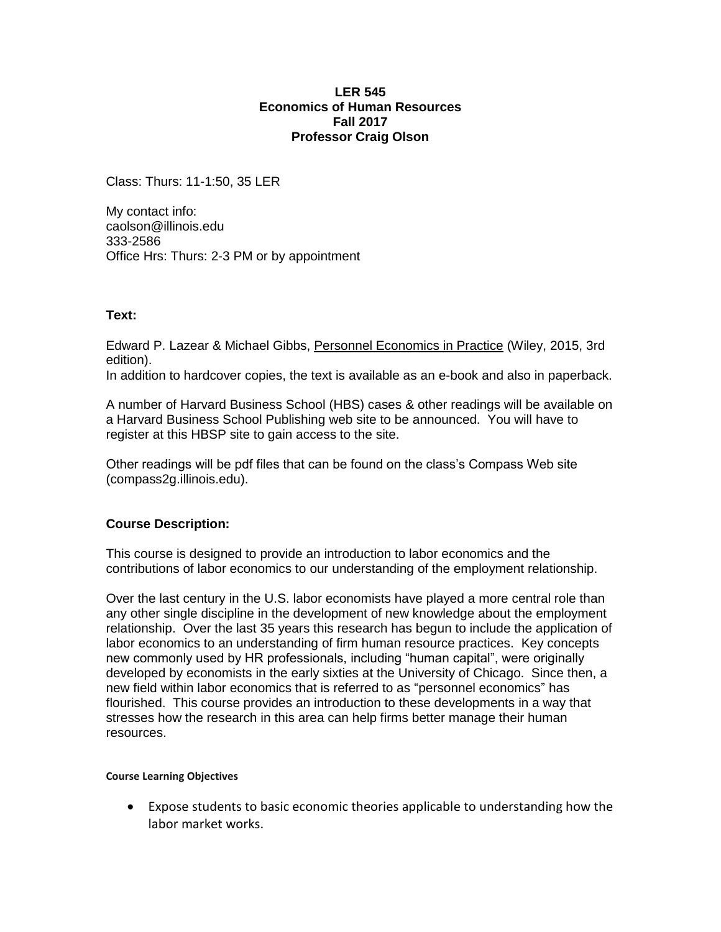#### **LER 545 Economics of Human Resources Fall 2017 Professor Craig Olson**

Class: Thurs: 11-1:50, 35 LER

My contact info: caolson@illinois.edu 333-2586 Office Hrs: Thurs: 2-3 PM or by appointment

# **Text:**

Edward P. Lazear & Michael Gibbs, Personnel Economics in Practice (Wiley, 2015, 3rd edition).

In addition to hardcover copies, the text is available as an e-book and also in paperback.

A number of Harvard Business School (HBS) cases & other readings will be available on a Harvard Business School Publishing web site to be announced. You will have to register at this HBSP site to gain access to the site.

Other readings will be pdf files that can be found on the class's Compass Web site (compass2g.illinois.edu).

# **Course Description:**

This course is designed to provide an introduction to labor economics and the contributions of labor economics to our understanding of the employment relationship.

Over the last century in the U.S. labor economists have played a more central role than any other single discipline in the development of new knowledge about the employment relationship. Over the last 35 years this research has begun to include the application of labor economics to an understanding of firm human resource practices. Key concepts new commonly used by HR professionals, including "human capital", were originally developed by economists in the early sixties at the University of Chicago. Since then, a new field within labor economics that is referred to as "personnel economics" has flourished. This course provides an introduction to these developments in a way that stresses how the research in this area can help firms better manage their human resources.

#### **Course Learning Objectives**

 Expose students to basic economic theories applicable to understanding how the labor market works.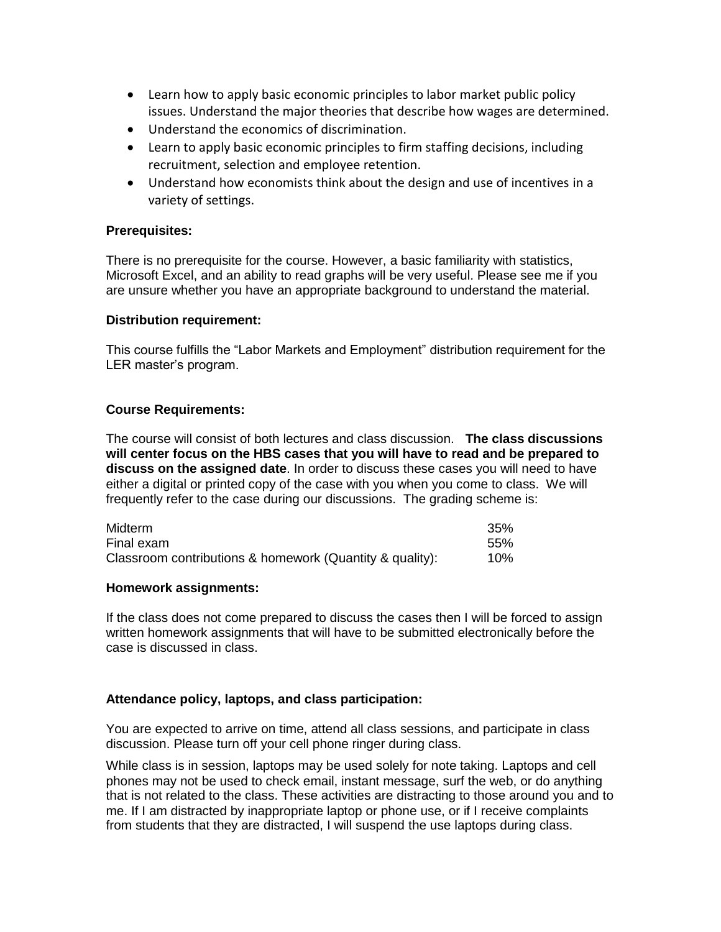- Learn how to apply basic economic principles to labor market public policy issues. Understand the major theories that describe how wages are determined.
- Understand the economics of discrimination.
- Learn to apply basic economic principles to firm staffing decisions, including recruitment, selection and employee retention.
- Understand how economists think about the design and use of incentives in a variety of settings.

# **Prerequisites:**

There is no prerequisite for the course. However, a basic familiarity with statistics, Microsoft Excel, and an ability to read graphs will be very useful. Please see me if you are unsure whether you have an appropriate background to understand the material.

## **Distribution requirement:**

This course fulfills the "Labor Markets and Employment" distribution requirement for the LER master's program.

## **Course Requirements:**

The course will consist of both lectures and class discussion. **The class discussions will center focus on the HBS cases that you will have to read and be prepared to discuss on the assigned date**. In order to discuss these cases you will need to have either a digital or printed copy of the case with you when you come to class. We will frequently refer to the case during our discussions. The grading scheme is:

| Midterm                                                  | 35%    |
|----------------------------------------------------------|--------|
| Final exam                                               | .55%   |
| Classroom contributions & homework (Quantity & quality): | $10\%$ |

#### **Homework assignments:**

If the class does not come prepared to discuss the cases then I will be forced to assign written homework assignments that will have to be submitted electronically before the case is discussed in class.

# **Attendance policy, laptops, and class participation:**

You are expected to arrive on time, attend all class sessions, and participate in class discussion. Please turn off your cell phone ringer during class.

While class is in session, laptops may be used solely for note taking. Laptops and cell phones may not be used to check email, instant message, surf the web, or do anything that is not related to the class. These activities are distracting to those around you and to me. If I am distracted by inappropriate laptop or phone use, or if I receive complaints from students that they are distracted, I will suspend the use laptops during class.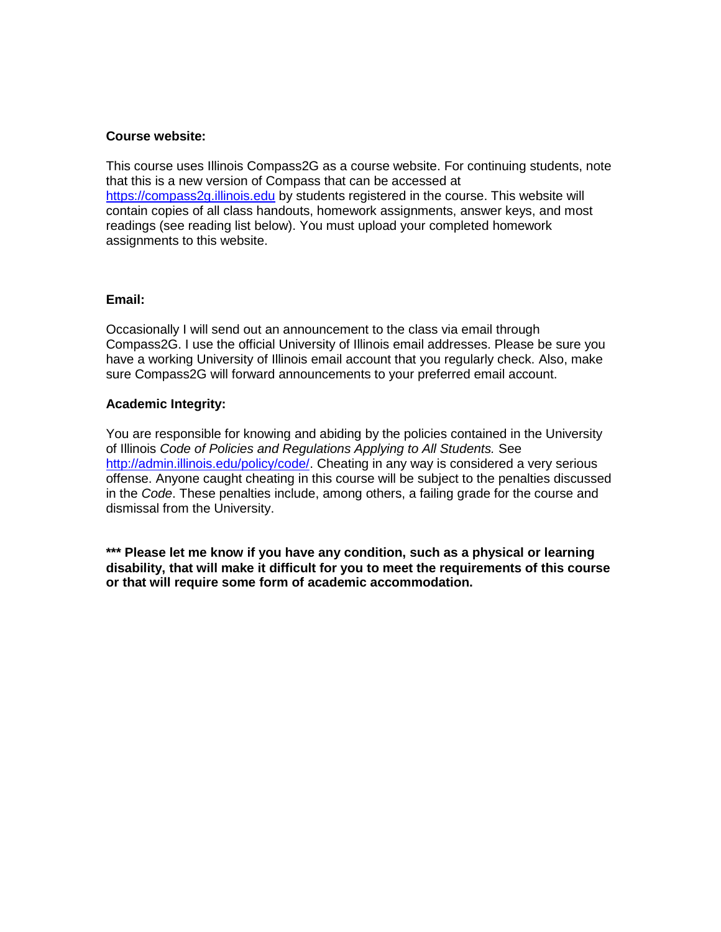#### **Course website:**

This course uses Illinois Compass2G as a course website. For continuing students, note that this is a new version of Compass that can be accessed at [https://compass2g.illinois.edu](https://compass2g.illinois.edu/) by students registered in the course. This website will contain copies of all class handouts, homework assignments, answer keys, and most readings (see reading list below). You must upload your completed homework assignments to this website.

## **Email:**

Occasionally I will send out an announcement to the class via email through Compass2G. I use the official University of Illinois email addresses. Please be sure you have a working University of Illinois email account that you regularly check. Also, make sure Compass2G will forward announcements to your preferred email account.

## **Academic Integrity:**

You are responsible for knowing and abiding by the policies contained in the University of Illinois *Code of Policies and Regulations Applying to All Students.* See [http://admin.illinois.edu/policy/code/.](http://admin.illinois.edu/policy/code/) Cheating in any way is considered a very serious offense. Anyone caught cheating in this course will be subject to the penalties discussed in the *Code*. These penalties include, among others, a failing grade for the course and dismissal from the University.

**\*\*\* Please let me know if you have any condition, such as a physical or learning disability, that will make it difficult for you to meet the requirements of this course or that will require some form of academic accommodation.**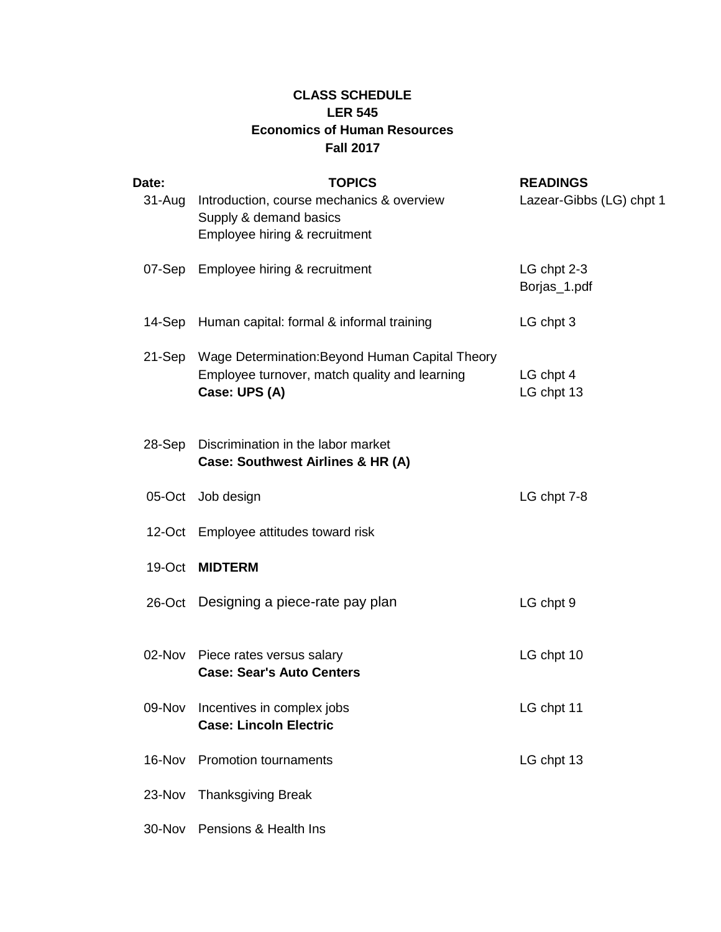# **CLASS SCHEDULE LER 545 Economics of Human Resources Fall 2017**

| Date:    | <b>TOPICS</b>                                                                                                            | <b>READINGS</b>             |
|----------|--------------------------------------------------------------------------------------------------------------------------|-----------------------------|
| 31-Aug   | Introduction, course mechanics & overview<br>Supply & demand basics<br>Employee hiring & recruitment                     | Lazear-Gibbs (LG) chpt 1    |
| 07-Sep   | Employee hiring & recruitment                                                                                            | LG chpt 2-3<br>Borjas_1.pdf |
| 14-Sep   | Human capital: formal & informal training                                                                                | LG chpt 3                   |
|          | 21-Sep Wage Determination: Beyond Human Capital Theory<br>Employee turnover, match quality and learning<br>Case: UPS (A) | LG chpt 4<br>LG chpt 13     |
| $28-Sep$ | Discrimination in the labor market<br>Case: Southwest Airlines & HR (A)                                                  |                             |
|          | 05-Oct Job design                                                                                                        | LG chpt 7-8                 |
|          | 12-Oct Employee attitudes toward risk                                                                                    |                             |
| 19-Oct   | <b>MIDTERM</b>                                                                                                           |                             |
|          | 26-Oct Designing a piece-rate pay plan                                                                                   | LG chpt 9                   |
|          | 02-Nov Piece rates versus salary<br><b>Case: Sear's Auto Centers</b>                                                     | LG chpt 10                  |
| 09-Nov   | Incentives in complex jobs<br><b>Case: Lincoln Electric</b>                                                              | LG chpt 11                  |
| 16-Nov   | <b>Promotion tournaments</b>                                                                                             | LG chpt 13                  |
| 23-Nov   | <b>Thanksgiving Break</b>                                                                                                |                             |
| 30-Nov   | Pensions & Health Ins                                                                                                    |                             |